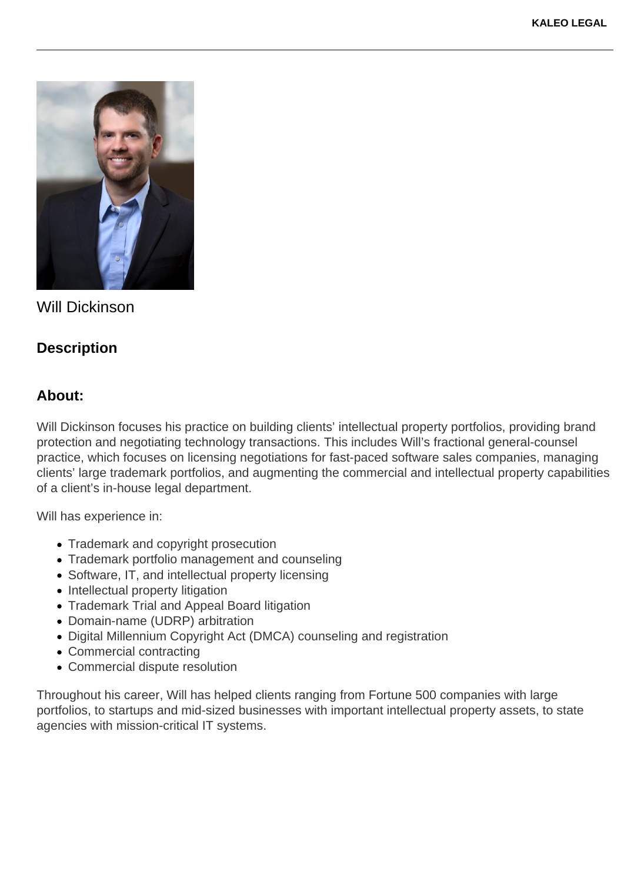

Will Dickinson

## **Description**

## **About:**

Will Dickinson focuses his practice on building clients' intellectual property portfolios, providing brand protection and negotiating technology transactions. This includes Will's fractional general-counsel practice, which focuses on licensing negotiations for fast-paced software sales companies, managing clients' large trademark portfolios, and augmenting the commercial and intellectual property capabilities of a client's in-house legal department.

Will has experience in:

- Trademark and copyright prosecution
- Trademark portfolio management and counseling
- Software, IT, and intellectual property licensing
- Intellectual property litigation
- Trademark Trial and Appeal Board litigation
- Domain-name (UDRP) arbitration
- Digital Millennium Copyright Act (DMCA) counseling and registration
- Commercial contracting
- Commercial dispute resolution

Throughout his career, Will has helped clients ranging from Fortune 500 companies with large portfolios, to startups and mid-sized businesses with important intellectual property assets, to state agencies with mission-critical IT systems.